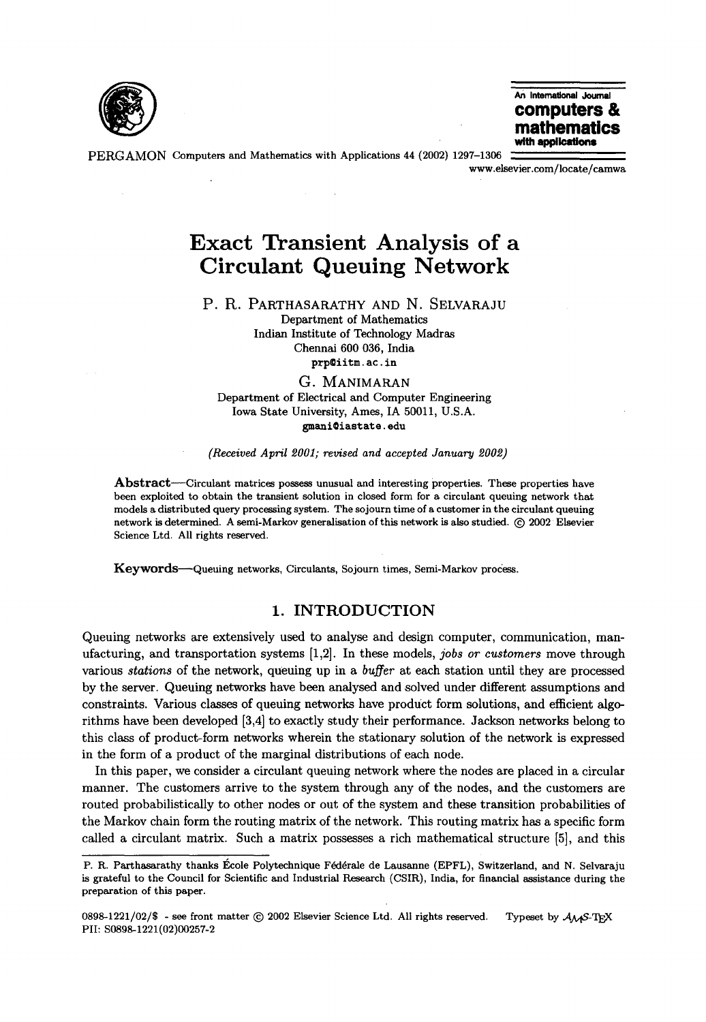



PERGAMON Computers and Mathematics with Applications 44 (2002) 1297-1306 www.elsevier.com/locate/camwa

# **Exact Transient Analysis of a Circulant Queuing Network**

P. R. PARTHASARATHY AND N. SELVARAJU Department of Mathematics

Indian Institute of Technology Madras Chennai 600 036, India prp@iitm, ac. in

#### **G.** MANIMARAN Department of Electrical and Computer Engineering Iowa State University, Ames, IA 50011, U.S.A. gmaniQiastat e. **edu**

#### *(Received April POOl; revised and accepted January 2002)*

Abstract—Circulant matrices possess unusual and interesting properties. These properties have been exploited to obtain the transient solution in closed form for a circulant queuing network that models a distributed query processing system. The sojourn time of a customer in the circulant queuing network is determined. A semi-Markov generalisation of this network is also studied. (c) 2002 Elsevier Science Ltd. All rights reserved.

Keywords--Queuing networks, Circulants, Sojourn times, Semi-Markov process.

#### 1. INTRODUCTION

Queuing networks are extensively used to analyse and design computer, communication, manufacturing, and transportation systems [1,2]. In these models, *jobs or customers* move through various *stations* of the network, queuing up in a *buffer* at each station until they are processed by the server. Queuing networks have been analysed and solved under different assumptions and constraints. Various classes of queuing networks have product form solutions, and efficient algorithms have been developed [3,4] to exactly study their performance. Jackson networks belong to this class of product-form networks wherein the stationary solution of the network is expressed in the form of a product of the marginal distributions of each node.

In this paper, we consider a circulant queuing network where the nodes are placed in a circular manner. The customers arrive to the system through any of the nodes, and the customers are routed probabilisticaily to other nodes or out of the system and these transition probabilities of the Markov chain form the routing matrix of the network. This routing matrix has a specific form called a circulant matrix. Such a matrix possesses a rich mathematical structure [5], and this

P. R. Parthasarathy thanks École Polytechnique Fédérale de Lausanne (EPFL), Switzerland, and N. Selvaraju is grateful to the Council for Scientific and Industrial Research (CSIR), India, for financial assistance during the preparation of this paper.

<sup>0898-1221/02/\$ -</sup> see front matter  $@$  2002 Elsevier Science Ltd. All rights reserved. Typeset by  $A_{\mathcal{M}}$ S-TEX PII: S0898-1221(02)00257-2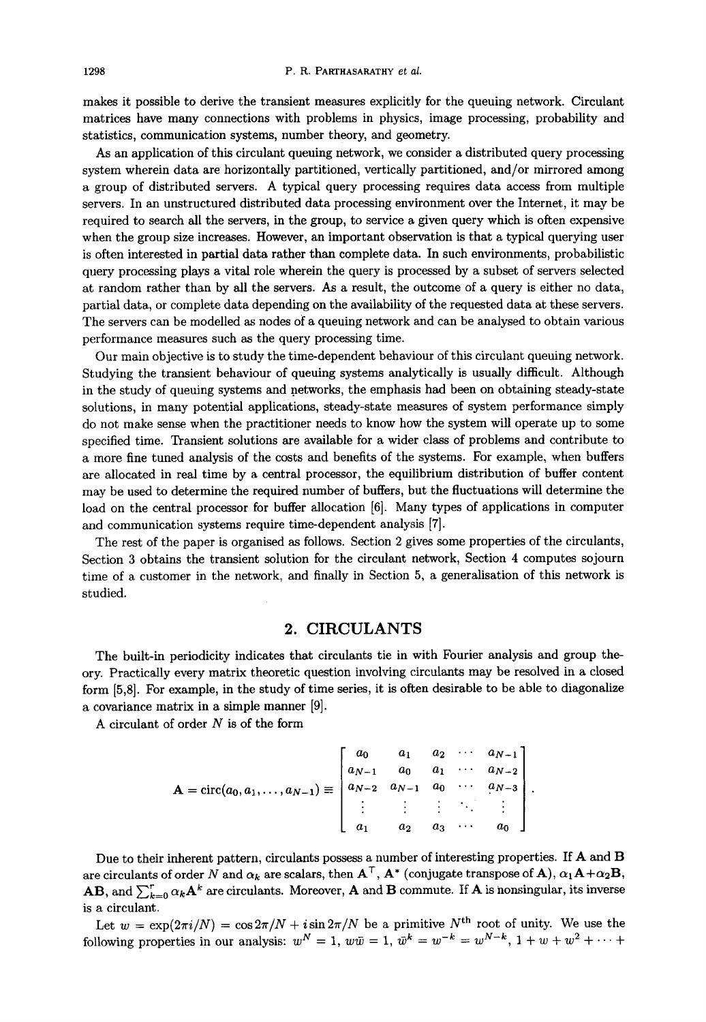makes it possible to derive the transient measures explicitly for the queuing network. Circulant matrices have many connections with problems in physics, image processing, probability and statistics, communication systems, number theory, and geometry.

As an application of this circulant queuing network, we consider a distributed query processing system wherein data are horizontally partitioned, vertically partitioned, and/or mirrored among a group of distributed servers, A typical query processing requires data access from multiple servers. In an unstructured distributed data processing environment over the Internet, it may be required to search all the servers, in the group, to service a given query which is often expensive when the group size increases. However, an important observation is that a typical querying user is often interested in partial data rather than complete data. In such environments, probabilistic query processing plays a vital role wherein the query is processed by a subset of servers selected at random rather than by all the servers. As a result, the outcome of a query is either no data, partial data, or complete data depending on the availability of the requested data at these servers. The servers can be modelled as nodes of a queuing network and can be analysed to obtain various performance measures such as the query processing time.

Our main objective is to study the time-dependent behaviour of this circulant queuing network. Studying the transient behaviour of queuing systems analytically is usually difficult. Although in the study of queuing systems and networks, the emphasis had been on obtaining steady-state solutions, in many potential applications, steady-state measures of system performance simply do not make sense when the practitioner needs to know how the system will operate up to some specified time. Transient solutions are available for a wider class of problems and contribute to a more fine tuned analysis of the costs and benefits of the systems. For example, when buffers are allocated in real time by a central processor, the equilibrium distribution of buffer content may be used to determine the required number of buffers, but the fluctuations will determine the load on the central processor for buffer allocation [6]. Many types of applications in computer and communication systems require time-dependent analysis [7].

The rest of the paper is organised as follows. Section 2 gives some properties of the circulants, Section 3 obtains the transient solution for the circulant network, Section 4 computes sojourn time of a customer in the network, and finally in Section 5, a generalisation of this network is studied.

#### **2. CIRCULANTS**

The built-in periodicity indicates that circulants tie in with Fourier analysis and group theory. Practically every matrix theoretic question involving circulants may be resolved in a closed form [5,8]. For example, in the study of time series, it is often desirable to be able to diagonalize a covariance matrix in a simple manner [9].

A circulant of order  $N$  is of the form

$$
\mathbf{A} = \text{circ}(a_0, a_1, \dots, a_{N-1}) \equiv \begin{bmatrix} a_0 & a_1 & a_2 & \cdots & a_{N-1} \\ a_{N-1} & a_0 & a_1 & \cdots & a_{N-2} \\ a_{N-2} & a_{N-1} & a_0 & \cdots & a_{N-3} \\ \vdots & \vdots & \vdots & \ddots & \vdots \\ a_1 & a_2 & a_3 & \cdots & a_0 \end{bmatrix}.
$$

Due to their inherent pattern, circulants possess a number of interesting properties. If A and B are circulants of order N and  $\alpha_k$  are scalars, then  $A^T$ ,  $A^*$  (conjugate transpose of A),  $\alpha_1 A + \alpha_2 B$ , AB, and  $\sum_{k=0}^{r} \alpha_k \mathbf{A}^k$  are circulants. Moreover, A and B commute. If A is nonsingular, its inverse is a circulant.

Let  $w = \exp(2\pi i/N) = \cos 2\pi/N + i \sin 2\pi/N$  be a primitive N<sup>th</sup> root of unity. We use the following properties in our analysis:  $w^N = 1$ ,  $w\bar{w} = 1$ ,  $\bar{w}^k = w^{-k} = w^{N-k}$ ,  $1 + w + w^2 + \cdots$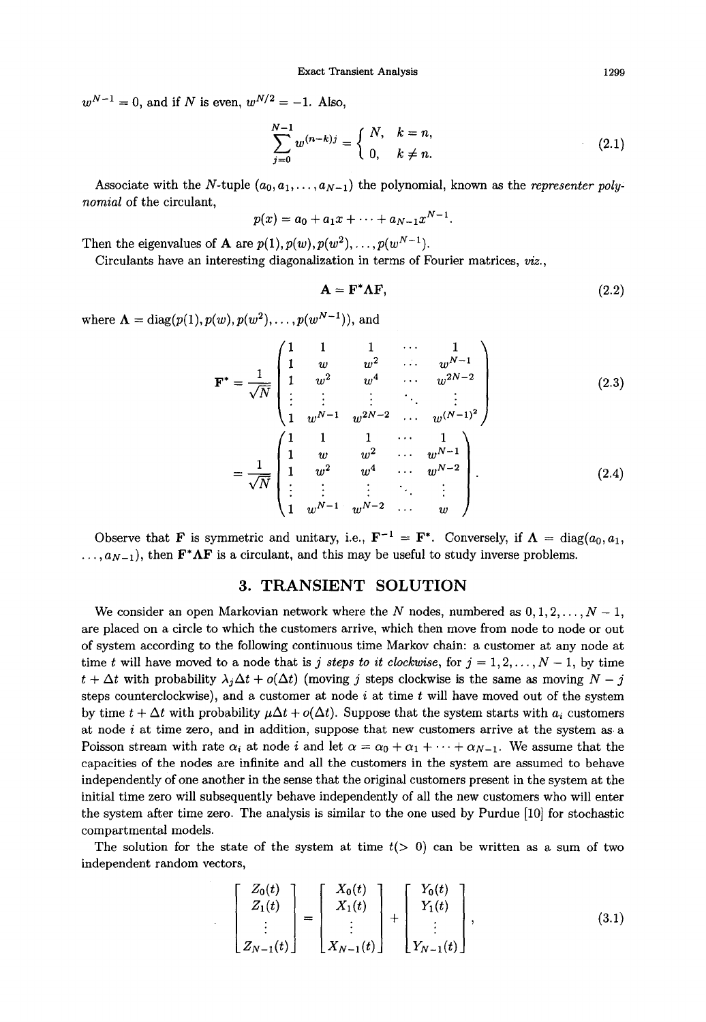$w^{N-1} = 0$ , and if N is even,  $w^{N/2} = -1$ . Also,

$$
\sum_{j=0}^{N-1} w^{(n-k)j} = \begin{cases} N, & k = n, \\ 0, & k \neq n. \end{cases}
$$
 (2.1)

Associate with the N-tuple  $(a_0, a_1, \ldots, a_{N-1})$  the polynomial, known as the *representer polynomial* of the circulant,

$$
p(x) = a_0 + a_1 x + \cdots + a_{N-1} x^{N-1}
$$

Then the eigenvalues of **A** are  $p(1), p(w), p(w^2), \ldots, p(w^{N-1})$ .

Circulants have an interesting diagonalization in terms of Fourier matrices,  $viz$ .

$$
\mathbf{A} = \mathbf{F}^* \mathbf{\Lambda} \mathbf{F},\tag{2.2}
$$

where  $\Lambda = \text{diag}(p(1), p(w), p(w^2), \ldots, p(w^{N-1}))$ , and

$$
\mathbf{F}^* = \frac{1}{\sqrt{N}} \begin{pmatrix} 1 & 1 & 1 & \cdots & 1 \\ 1 & w & w^2 & \cdots & w^{N-1} \\ 1 & w^2 & w^4 & \cdots & w^{2N-2} \\ \vdots & \vdots & \vdots & \ddots & \vdots \\ 1 & w^{N-1} & w^{2N-2} & \cdots & w^{(N-1)^2} \end{pmatrix}
$$
(2.3)  

$$
= \frac{1}{\sqrt{N}} \begin{pmatrix} 1 & 1 & 1 & \cdots & 1 \\ 1 & w & w^2 & \cdots & w^{N-1} \\ 1 & w^2 & w^4 & \cdots & w^{N-2} \\ \vdots & \vdots & \vdots & \ddots & \vdots \\ 1 & w^{N-1} & w^{N-2} & \cdots & w \end{pmatrix}.
$$
(2.4)

Observe that **F** is symmetric and unitary, i.e.,  $\mathbf{F}^{-1} = \mathbf{F}^*$ . Conversely, if  $\Lambda = \text{diag}(a_0, a_1, a_2)$  $\ldots$ ,  $a_{N-1}$ ), then  $\mathbf{F}^*\mathbf{\Lambda}\mathbf{F}$  is a circulant, and this may be useful to study inverse problems.

### 3. TRANSIENT SOLUTION

We consider an open Markovian network where the N nodes, numbered as  $0, 1, 2, \ldots, N-1$ , are placed on a circle to which the customers arrive, which then move from node to node or out of system according to the following continuous time Markov chain: a customer at any node at time t will have moved to a node that is j steps to it clockwise, for  $j = 1, 2, \ldots, N - 1$ , by time  $t + \Delta t$  with probability  $\lambda_j \Delta t + o(\Delta t)$  (moving j steps clockwise is the same as moving  $N - j$ steps counterclockwise), and a customer at node  $i$  at time  $t$  will have moved out of the system by time  $t + \Delta t$  with probability  $\mu \Delta t + o(\Delta t)$ . Suppose that the system starts with  $a_i$  customers at node i at time zero, and in addition, suppose that new customers arrive at the system as a Poisson stream with rate  $\alpha_i$  at node i and let  $\alpha = \alpha_0 + \alpha_1 + \cdots + \alpha_{N-1}$ . We assume that the capacities of the nodes are infinite and all the customers in the system are assumed to behave independently of one another in the sense that the original customers present in the system at the initial time zero will subsequently behave independently of all the new customers who will enter the system after time zero. The analysis is similar to the one used by Purdue [10] for stochastic compartmental models.

The solution for the state of the system at time  $t(> 0)$  can be written as a sum of two independent random vectors,

$$
\begin{bmatrix} Z_0(t) \\ Z_1(t) \\ \vdots \\ Z_{N-1}(t) \end{bmatrix} = \begin{bmatrix} X_0(t) \\ X_1(t) \\ \vdots \\ X_{N-1}(t) \end{bmatrix} + \begin{bmatrix} Y_0(t) \\ Y_1(t) \\ \vdots \\ Y_{N-1}(t) \end{bmatrix},
$$
(3.1)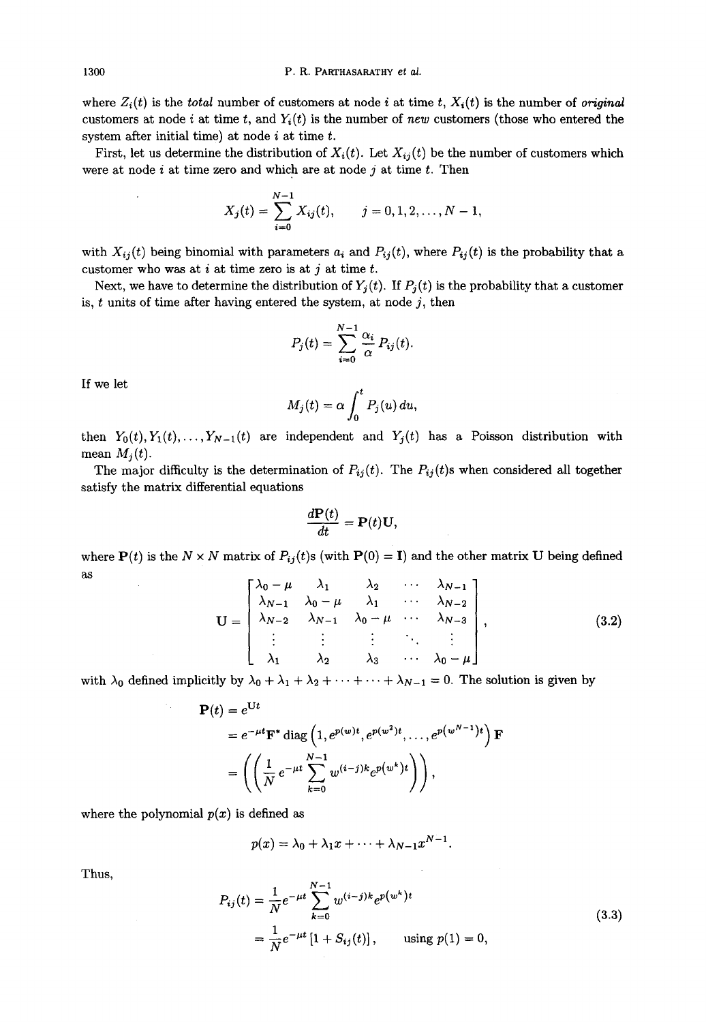where  $Z_i(t)$  is the *total* number of customers at node *i* at time *t*,  $X_i(t)$  is the number of *original* customers at node i at time t, and  $Y_i(t)$  is the number of *new* customers (those who entered the system after initial time) at node  $i$  at time  $t$ .

First, let us determine the distribution of  $X_i(t)$ . Let  $X_{ij}(t)$  be the number of customers which were at node  $i$  at time zero and which are at node  $j$  at time  $t$ . Then

$$
X_j(t) = \sum_{i=0}^{N-1} X_{ij}(t), \qquad j = 0, 1, 2, \ldots, N-1,
$$

with  $X_{ij}(t)$  being binomial with parameters  $a_i$  and  $P_{ij}(t)$ , where  $P_{ij}(t)$  is the probability that a customer who was at  $i$  at time zero is at  $j$  at time  $t$ .

Next, we have to determine the distribution of  $Y_i(t)$ . If  $P_i(t)$  is the probability that a customer is,  $t$  units of time after having entered the system, at node  $j$ , then

$$
P_j(t) = \sum_{i=0}^{N-1} \frac{\alpha_i}{\alpha} P_{ij}(t).
$$

If we let

$$
M_j(t) = \alpha \int_0^t P_j(u) \, du,
$$

then  $Y_0(t), Y_1(t), \ldots, Y_{N-1}(t)$  are independent and  $Y_i(t)$  has a Poisson distribution with mean  $M_i(t)$ .

The major difficulty is the determination of  $P_{ij}(t)$ . The  $P_{ij}(t)$ s when considered all together satisfy the matrix differential equations

$$
\frac{d\mathbf{P}(t)}{dt} = \mathbf{P}(t)\mathbf{U},
$$

where  $P(t)$  is the  $N \times N$  matrix of  $P_{ij}(t)$ s (with  $P(0) = I$ ) and the other matrix U being defined as

$$
\mathbf{U} = \begin{bmatrix} \lambda_0 - \mu & \lambda_1 & \lambda_2 & \cdots & \lambda_{N-1} \\ \lambda_{N-1} & \lambda_0 - \mu & \lambda_1 & \cdots & \lambda_{N-2} \\ \lambda_{N-2} & \lambda_{N-1} & \lambda_0 - \mu & \cdots & \lambda_{N-3} \\ \vdots & \vdots & \vdots & \ddots & \vdots \\ \lambda_1 & \lambda_2 & \lambda_3 & \cdots & \lambda_0 - \mu \end{bmatrix},
$$
(3.2)

with  $\lambda_0$  defined implicitly by  $\lambda_0 + \lambda_1 + \lambda_2 + \cdots + \lambda_{N-1} = 0$ . The solution is given by

$$
\mathbf{P}(t) = e^{\mathbf{U}t}
$$
  
=  $e^{-\mu t} \mathbf{F}^*$  diag  $\left(1, e^{p(w)t}, e^{p(w^2)t}, \dots, e^{p(w^{N-1})t}\right) \mathbf{F}$   
=  $\left(\left(\frac{1}{N}e^{-\mu t} \sum_{k=0}^{N-1} w^{(i-j)k} e^{p(w^k)t}\right)\right),$ 

where the polynomial  $p(x)$  is defined as

$$
p(x) = \lambda_0 + \lambda_1 x + \cdots + \lambda_{N-1} x^{N-1}.
$$

Thus,

$$
P_{ij}(t) = \frac{1}{N} e^{-\mu t} \sum_{k=0}^{N-1} w^{(i-j)k} e^{p(w^k)t}
$$
  
= 
$$
\frac{1}{N} e^{-\mu t} [1 + S_{ij}(t)], \qquad \text{using } p(1) = 0,
$$
 (3.3)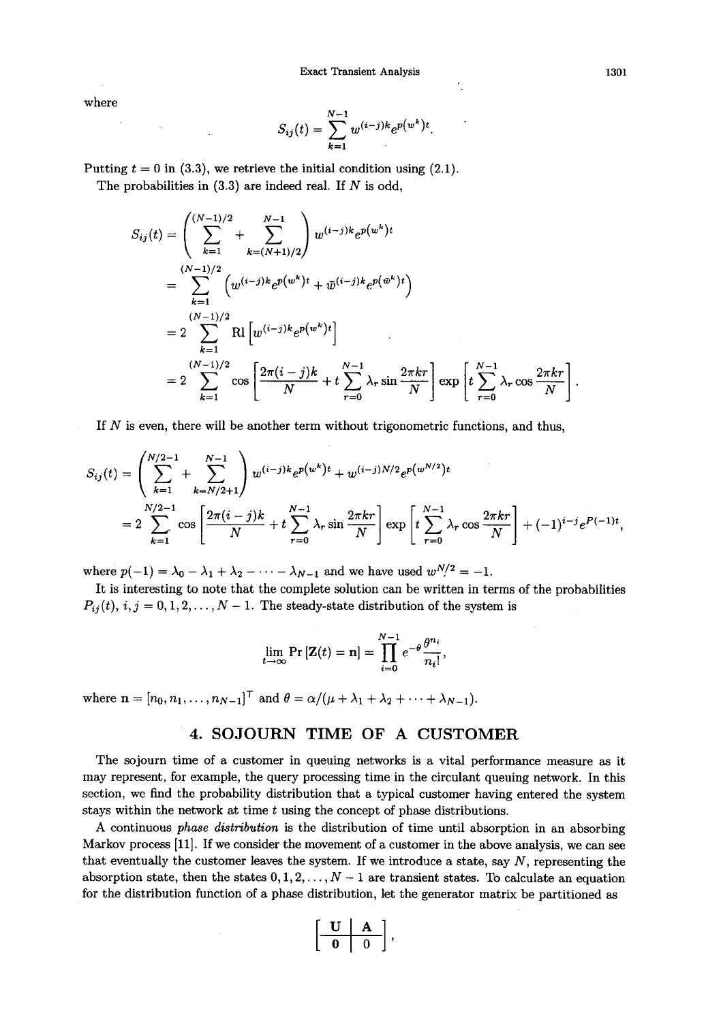where

$$
S_{ij}(t) = \sum_{k=1}^{N-1} w^{(i-j)k} e^{p(w^k)t}.
$$

Putting  $t = 0$  in (3.3), we retrieve the initial condition using (2.1).

The probabilities in  $(3.3)$  are indeed real. If N is odd,

$$
S_{ij}(t) = \left(\sum_{k=1}^{(N-1)/2} + \sum_{k=(N+1)/2}^{N-1}\right) w^{(i-j)k} e^{p(w^k)t}
$$
  
= 
$$
\sum_{k=1}^{(N-1)/2} \left(w^{(i-j)k} e^{p(w^k)t} + \bar{w}^{(i-j)k} e^{p(\bar{w}^k)t}\right)
$$
  
= 
$$
2 \sum_{k=1}^{(N-1)/2} \text{RI}\left[w^{(i-j)k} e^{p(w^k)t}\right]
$$
  
= 
$$
2 \sum_{k=1}^{(N-1)/2} \cos\left[\frac{2\pi(i-j)k}{N} + t \sum_{r=0}^{N-1} \lambda_r \sin\frac{2\pi kr}{N}\right] \exp\left[t \sum_{r=0}^{N-1} \lambda_r \cos\frac{2\pi kr}{N}\right].
$$

If  $N$  is even, there will be another term without trigonometric functions, and thus,

$$
S_{ij}(t) = \left(\sum_{k=1}^{N/2-1} + \sum_{k=N/2+1}^{N-1}\right) w^{(i-j)k} e^{p(w^k)t} + w^{(i-j)N/2} e^{p(w^{N/2})t}
$$
  
= 
$$
2 \sum_{k=1}^{N/2-1} \cos \left[\frac{2\pi (i-j)k}{N} + t \sum_{r=0}^{N-1} \lambda_r \sin \frac{2\pi kr}{N}\right] \exp \left[t \sum_{r=0}^{N-1} \lambda_r \cos \frac{2\pi kr}{N}\right] + (-1)^{i-j} e^{P(-1)t},
$$

where  $p(-1) = \lambda_0 - \lambda_1 + \lambda_2 - \cdots - \lambda_{N-1}$  and we have used  $w^{N/2} = -1$ .

It is interesting to note that the complete solution can be written in terms of the probabilities  $P_{ij}(t), i, j = 0, 1, 2, \ldots, N - 1$ . The steady-state distribution of the system is

$$
\lim_{t\to\infty}\Pr\left[\mathbf{Z}(t)=\mathbf{n}\right]=\prod_{i=0}^{N-1}e^{-\theta}\frac{\theta^{n_i}}{n_i!},
$$

where  $\mathbf{n} = [n_0, n_1, \dots, n_{N-1}]^\top$  and  $\theta = \alpha/(\mu + \lambda_1 + \lambda_2 + \dots + \lambda_{N-1}).$ 

## 4. SOJOURN TIME OF A CUSTOMER

The sojourn time of a customer in queuing networks is a vital performance measure as it may represent, for example, the query processing time in the circulant queuing network. In this section, we find the probability distribution that a typical customer having entered the system stays within the network at time t using the concept of phase distributions.

A continuous *phase distribution* is the distribution of time until absorption in an absorbing Markov process [11]. If we consider the movement of a customer in the above analysis, we can see that eventually the customer leaves the system. If we introduce a state, say  $N$ , representing the absorption state, then the states  $0, 1, 2, \ldots, N - 1$  are transient states. To calculate an equation for the distribution function of a phase distribution, let the generator matrix be partitioned as

$$
\left[\begin{array}{c|c}\n\mathbf{U} & \mathbf{A} \\
\hline\n\mathbf{0} & 0\n\end{array}\right],
$$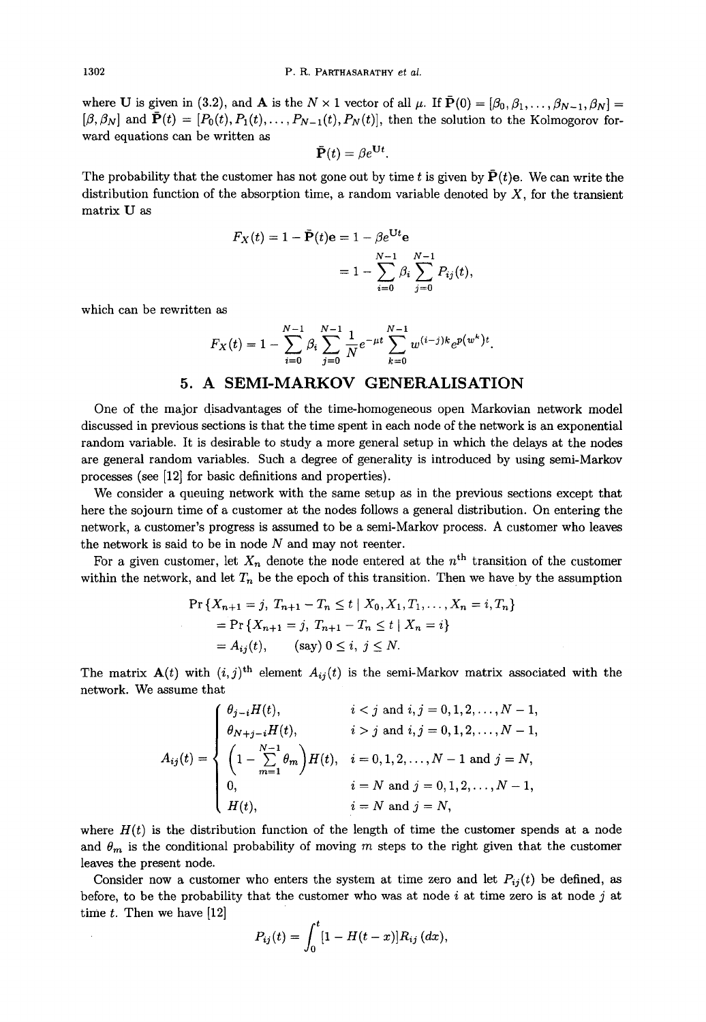where U is given in (3.2), and A is the  $N \times 1$  vector of all  $\mu$ . If  $\bar{P}(0) = [\beta_0, \beta_1, \dots, \beta_{N-1}, \beta_N] =$  $[\beta,\beta_N]$  and  $\bar{\mathbf{P}}(t) = [P_0(t), P_1(t),\ldots,P_{N-1}(t),P_N(t)],$  then the solution to the Kolmogorov forward equations can be written as

$$
\bar{\mathbf{P}}(t) = \beta e^{\mathbf{U} t}.
$$

The probability that the customer has not gone out by time t is given by  $\bar{P}(t)e$ . We can write the distribution function of the absorption time, a random variable denoted by  $X$ , for the transient matrix U as

$$
F_X(t) = 1 - \bar{P}(t)e = 1 - \beta e^{Ut}e
$$
  
=  $1 - \sum_{i=0}^{N-1} \beta_i \sum_{j=0}^{N-1} P_{ij}(t),$ 

which can be rewritten as

$$
F_X(t) = 1 - \sum_{i=0}^{N-1} \beta_i \sum_{j=0}^{N-1} \frac{1}{N} e^{-\mu t} \sum_{k=0}^{N-1} w^{(i-j)k} e^{p(w^k)t}.
$$

## **5. A SEMI-MARKOV GENERALISATION**

One of the major disadvantages of the time-homogeneous open Markovian network model discussed in previous sections is that the time spent in each node of the network is an exponential random variable. It is desirable to study a more general setup in which the delays at the nodes are general random variables. Such a degree of generality is introduced by using semi-Markov processes (see [12] for basic definitions and properties).

We consider a queuing network with the same setup as in the previous sections except that here the sojourn time of a customer at the nodes follows a general distribution. On entering the network, a customer's progress is assumed to be a semi-Markov process. A customer who leaves the network is said to be in node  $N$  and may not reenter.

For a given customer, let  $X_n$  denote the node entered at the  $n<sup>th</sup>$  transition of the customer within the network, and let  $T_n$  be the epoch of this transition. Then we have by the assumption

$$
\Pr\{X_{n+1} = j, T_{n+1} - T_n \le t \mid X_0, X_1, T_1, \dots, X_n = i, T_n\} \\
= \Pr\{X_{n+1} = j, T_{n+1} - T_n \le t \mid X_n = i\} \\
= A_{ij}(t), \qquad \text{(say) } 0 \le i, j \le N.
$$

The matrix  $A(t)$  with  $(i,j)$ <sup>th</sup> element  $A_{ij}(t)$  is the semi-Markov matrix associated with the network. We assume that

$$
A_{ij}(t) = \begin{cases} \theta_{j-i}H(t), & i < j \text{ and } i, j = 0, 1, 2, ..., N-1, \\ \theta_{N+j-i}H(t), & i > j \text{ and } i, j = 0, 1, 2, ..., N-1, \\ \left(1 - \sum_{m=1}^{N-1} \theta_m\right)H(t), & i = 0, 1, 2, ..., N-1 \text{ and } j = N, \\ 0, & i = N \text{ and } j = 0, 1, 2, ..., N-1, \\ H(t), & i = N \text{ and } j = N, \end{cases}
$$

where  $H(t)$  is the distribution function of the length of time the customer spends at a node and  $\theta_m$  is the conditional probability of moving m steps to the right given that the customer leaves the present node.

Consider now a customer who enters the system at time zero and let  $P_{ij}(t)$  be defined, as before, to be the probability that the customer who was at node  $i$  at time zero is at node  $j$  at time  $t$ . Then we have [12]

$$
P_{ij}(t) = \int_0^t [1 - H(t - x)] R_{ij} (dx),
$$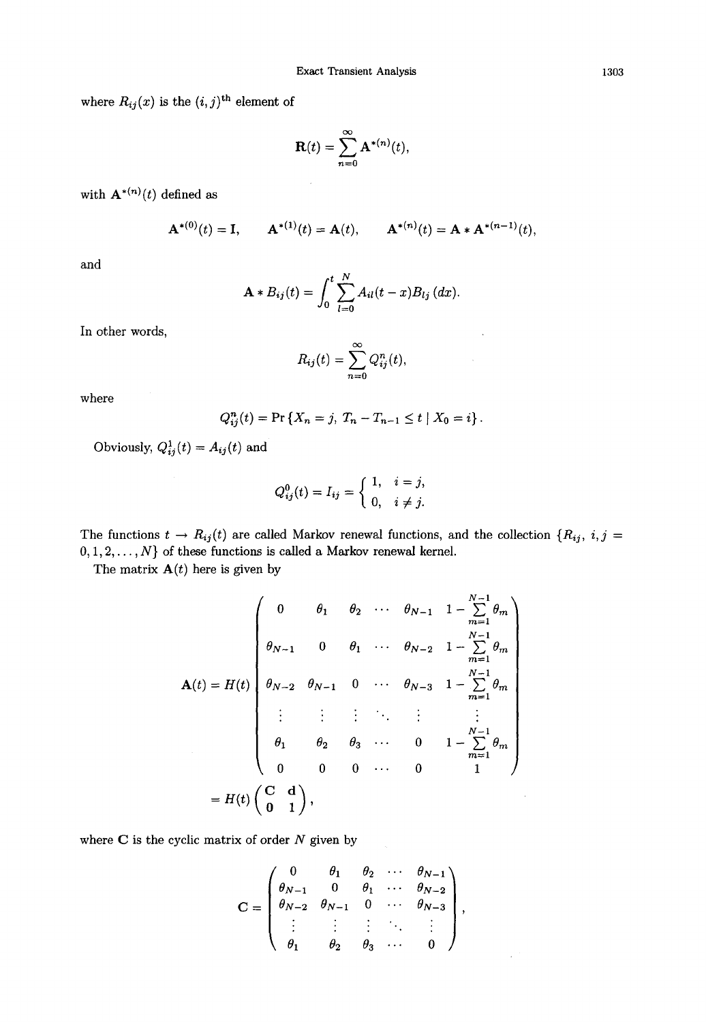where  $R_{ij}(x)$  is the  $(i, j)$ <sup>th</sup> element of

$$
\mathbf{R}(t)=\sum_{n=0}^{\infty}\mathbf{A}^{*(n)}(t),
$$

with  $\mathbf{A}^{*(n)}(t)$  defined as

$$
\mathbf{A}^{*(0)}(t) = \mathbf{I}, \qquad \mathbf{A}^{*(1)}(t) = \mathbf{A}(t), \qquad \mathbf{A}^{*(n)}(t) = \mathbf{A} * \mathbf{A}^{*(n-1)}(t),
$$

and

$$
\mathbf{A} * B_{ij}(t) = \int_0^t \sum_{l=0}^N A_{il}(t-x) B_{lj}(dx).
$$

In other words,

$$
R_{ij}(t) = \sum_{n=0}^{\infty} Q_{ij}^n(t),
$$

where

$$
Q_{ij}^{n}(t) = \Pr\{X_n = j, T_n - T_{n-1} \le t \mid X_0 = i\}
$$

Obviously,  $Q_{ij}^1(t) = A_{ij}(t)$  and

$$
Q_{ij}^0(t) = I_{ij} = \begin{cases} 1, & i = j, \\ 0, & i \neq j. \end{cases}
$$

The functions  $t \to R_{ij}(t)$  are called Markov renewal functions, and the collection  $\{R_{ij}, i, j =$  $0, 1, 2, \ldots, N\}$  of these functions is called a Markov renewal kernel.

The matrix  $\mathbf{A}(t)$  here is given by

$$
\mathbf{A}(t) = H(t) \begin{pmatrix} 0 & \theta_1 & \theta_2 & \cdots & \theta_{N-1} & 1 - \sum_{m=1}^{N-1} \theta_m \\ \theta_{N-1} & 0 & \theta_1 & \cdots & \theta_{N-2} & 1 - \sum_{m=1}^{N-1} \theta_m \\ \theta_{N-2} & \theta_{N-1} & 0 & \cdots & \theta_{N-3} & 1 - \sum_{m=1}^{N-1} \theta_m \\ \vdots & \vdots & \vdots & \ddots & \vdots & \vdots \\ \theta_1 & \theta_2 & \theta_3 & \cdots & 0 & 1 - \sum_{m=1}^{N-1} \theta_m \\ 0 & 0 & 0 & \cdots & 0 & 1 \end{pmatrix}
$$

$$
= H(t) \begin{pmatrix} \mathbf{C} & \mathbf{d} \\ \mathbf{0} & 1 \end{pmatrix},
$$

where  $C$  is the cyclic matrix of order  $N$  given by

$$
\mathbf{C} = \begin{pmatrix} 0 & \theta_1 & \theta_2 & \cdots & \theta_{N-1} \\ \theta_{N-1} & 0 & \theta_1 & \cdots & \theta_{N-2} \\ \theta_{N-2} & \theta_{N-1} & 0 & \cdots & \theta_{N-3} \\ \vdots & \vdots & \vdots & \ddots & \vdots \\ \theta_1 & \theta_2 & \theta_3 & \cdots & 0 \end{pmatrix},
$$

 $\bar{z}$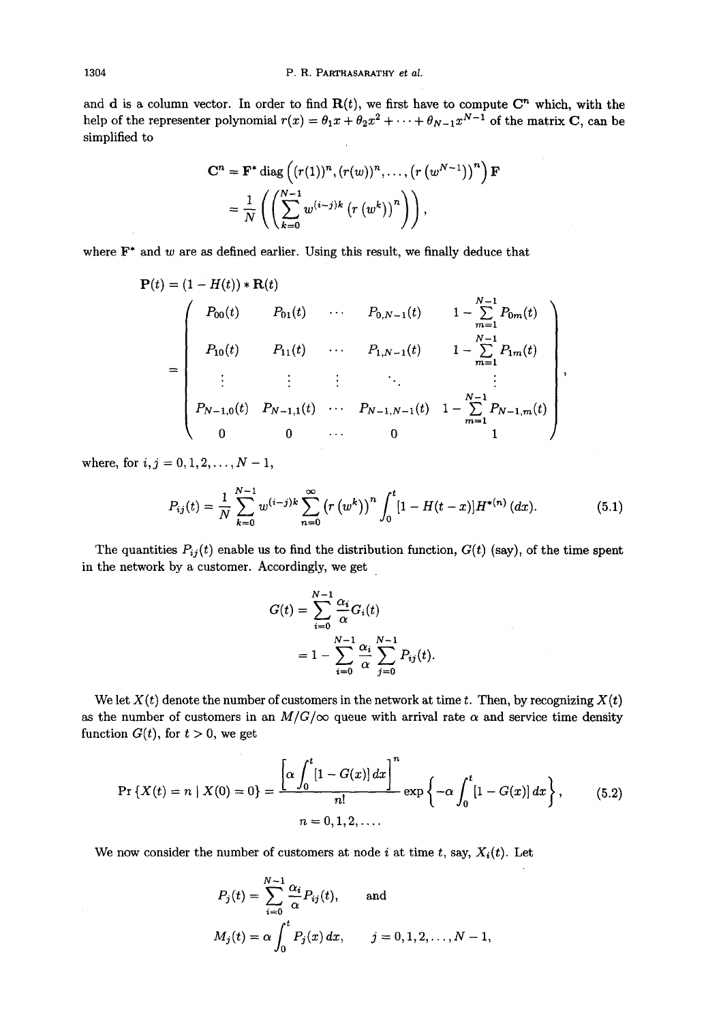and d is a column vector. In order to find  $R(t)$ , we first have to compute  $C<sup>n</sup>$  which, with the help of the representer polynomial  $r(x) = \theta_1 x + \theta_2 x^2 + \cdots + \theta_{N-1} x^{N-1}$  of the matrix **C**, can be simplified to

$$
C^{n} = \mathbf{F}^{*} \operatorname{diag} \left( (r(1))^{n}, (r(w))^{n}, \ldots, (r(w^{N-1}))^{n} \right) \mathbf{F}
$$

$$
= \frac{1}{N} \left( \left( \sum_{k=0}^{N-1} w^{(i-j)k} (r(w^{k}))^{n} \right) \right),
$$

where  $\mathbf{F}^*$  and w are as defined earlier. Using this result, we finally deduce that

$$
\mathbf{P}(t) = (1 - H(t)) * \mathbf{R}(t)
$$
\n
$$
= \begin{pmatrix}\nP_{00}(t) & P_{01}(t) & \cdots & P_{0,N-1}(t) & 1 - \sum_{m=1}^{N-1} P_{0m}(t) \\
P_{10}(t) & P_{11}(t) & \cdots & P_{1,N-1}(t) & 1 - \sum_{m=1}^{N-1} P_{1m}(t) \\
\vdots & \vdots & \vdots & \ddots & \vdots \\
P_{N-1,0}(t) & P_{N-1,1}(t) & \cdots & P_{N-1,N-1}(t) & 1 - \sum_{m=1}^{N-1} P_{N-1,m}(t) \\
0 & 0 & \cdots & 0 & 1\n\end{pmatrix},
$$

where, for  $i, j = 0, 1, 2, ..., N - 1$ ,

$$
P_{ij}(t) = \frac{1}{N} \sum_{k=0}^{N-1} w^{(i-j)k} \sum_{n=0}^{\infty} \left( r(w^k) \right)^n \int_0^t [1 - H(t-x)] H^{*(n)}(dx). \tag{5.1}
$$

The quantities  $P_{ij}(t)$  enable us to find the distribution function,  $G(t)$  (say), of the time spent in the network by a customer. Accordingly, we get

$$
G(t) = \sum_{i=0}^{N-1} \frac{\alpha_i}{\alpha} G_i(t)
$$
  
=  $1 - \sum_{i=0}^{N-1} \frac{\alpha_i}{\alpha} \sum_{j=0}^{N-1} P_{ij}(t).$ 

We let  $X(t)$  denote the number of customers in the network at time t. Then, by recognizing  $X(t)$ as the number of customers in an  $M/G/\infty$  queue with arrival rate  $\alpha$  and service time density function  $G(t)$ , for  $t > 0$ , we get

$$
\Pr\left\{X(t) = n \mid X(0) = 0\right\} = \frac{\left[\alpha \int_0^t [1 - G(x)] dx\right]^n}{n!} \exp\left\{-\alpha \int_0^t [1 - G(x)] dx\right\},\qquad(5.2)
$$

$$
n = 0, 1, 2, \dots
$$

We now consider the number of customers at node i at time t, say,  $X_i(t)$ . Let

$$
P_j(t) = \sum_{i=0}^{N-1} \frac{\alpha_i}{\alpha} P_{ij}(t), \quad \text{and}
$$
  

$$
M_j(t) = \alpha \int_0^t P_j(x) dx, \quad j = 0, 1, 2, \dots, N-1,
$$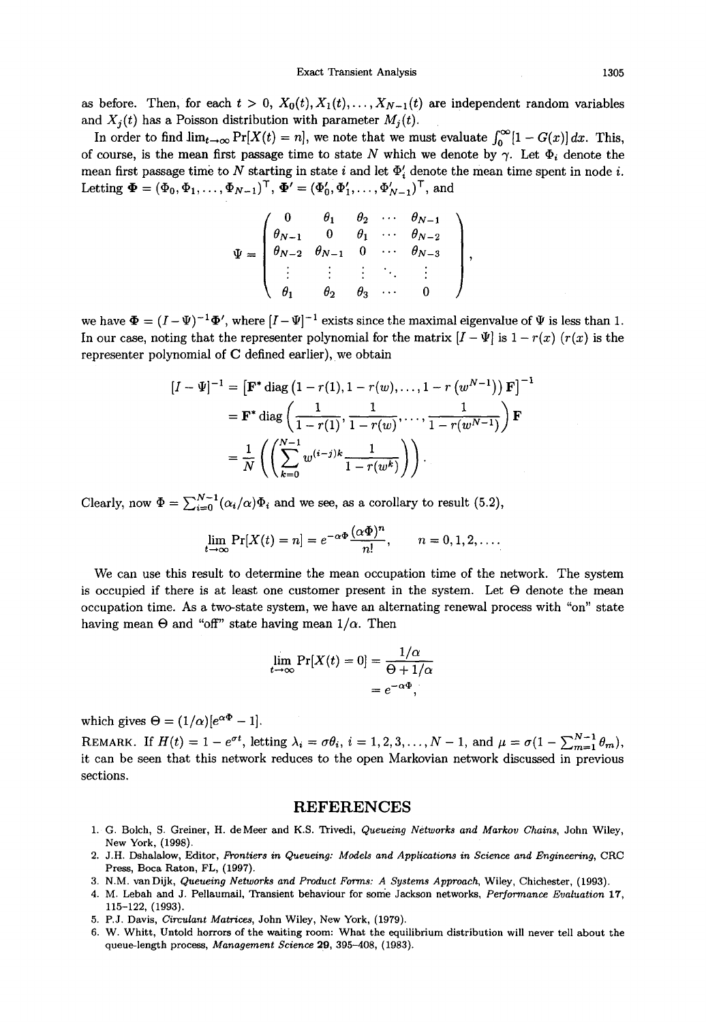as before. Then, for each  $t > 0$ ,  $X_0(t), X_1(t), \ldots, X_{N-1}(t)$  are independent random variables and  $X_i(t)$  has a Poisson distribution with parameter  $M_i(t)$ .

In order to find  $\lim_{t\to\infty} \Pr[X(t) = n]$ , we note that we must evaluate  $\int_0^{\infty} [1 - G(x)] dx$ . This, of course, is the mean first passage time to state N which we denote by  $\gamma$ . Let  $\Phi_i$  denote the mean first passage time to N starting in state i and let  $\Phi'$  denote the mean time spent in node i. Letting  $\Phi = (\Phi_0, \Phi_1, \ldots, \Phi_{N-1})^{\top}, \, \Phi' = (\Phi'_0, \Phi'_1, \ldots, \Phi'_{N-1})^{\top},$  and

$$
\Psi = \begin{pmatrix}\n0 & \theta_1 & \theta_2 & \cdots & \theta_{N-1} \\
\theta_{N-1} & 0 & \theta_1 & \cdots & \theta_{N-2} \\
\theta_{N-2} & \theta_{N-1} & 0 & \cdots & \theta_{N-3} \\
\vdots & \vdots & \vdots & \ddots & \vdots \\
\theta_1 & \theta_2 & \theta_3 & \cdots & 0\n\end{pmatrix},
$$

we have  $\Phi = (I - \Psi)^{-1} \Phi'$ , where  $[I - \Psi]^{-1}$  exists since the maximal eigenvalue of  $\Psi$  is less than 1. In our case, noting that the representer polynomial for the matrix  $[I - \Psi]$  is  $1 - r(x)$  ( $r(x)$  is the representer polynomial of  $C$  defined earlier), we obtain

$$
[I - \Psi]^{-1} = \left[ \mathbf{F}^* \text{ diag} \left( 1 - r(1), 1 - r(w), \dots, 1 - r \left( w^{N-1} \right) \right) \mathbf{F} \right]^{-1}
$$
  
=  $\mathbf{F}^* \text{ diag} \left( \frac{1}{1 - r(1)}, \frac{1}{1 - r(w)}, \dots, \frac{1}{1 - r(w^{N-1})} \right) \mathbf{F}$   
=  $\frac{1}{N} \left( \left( \sum_{k=0}^{N-1} w^{(i-j)k} \frac{1}{1 - r(w^k)} \right) \right).$ 

Clearly, now  $\Phi = \sum_{i=0}^{N-1} (\alpha_i/\alpha)\Phi_i$  and we see, as a corollary to result (5.2),

$$
\lim_{t\to\infty}\Pr[X(t)=n]=e^{-\alpha\Phi}\frac{(\alpha\Phi)^n}{n!},\qquad n=0,1,2,\ldots.
$$

We can use this result to determine the mean occupation time of the network. The system is occupied if there is at least one customer present in the system. Let  $\Theta$  denote the mean occupation time. As a two-state system, we have an alternating renewal process with "on" state having mean  $\Theta$  and "off" state having mean  $1/\alpha$ . Then

$$
\lim_{t \to \infty} \Pr[X(t) = 0] = \frac{1/\alpha}{\Theta + 1/\alpha}
$$

$$
= e^{-\alpha \Phi}
$$

which gives  $\Theta = (1/\alpha)[e^{\alpha \Phi} - 1].$ 

REMARK. If  $H(t) = 1 - e^{\sigma t}$ , letting  $\lambda_i = \sigma \theta_i$ ,  $i = 1, 2, 3, ..., N - 1$ , and  $\mu = \sigma (1 - \sum_{m=1}^{N-1} \theta_m)$ , it can be seen that this network reduces to the open Markovian network discussed in previous sections.

#### REFERENCES

- 1. G. Bolch, S. Greiner, H. deMeer and K.S. Trivedi, *Queueing Networks and Markov Chains,* John Wiley, New York, (1998).
- 2. J.H. Dshalalow, Editor, *Frontiers in Queueing: Models and Applications in Science and Engineering,* CRC Press, Boca Raton, FL, (1997).
- 3. N.M. van Dijk, *Queueing Networks and Product Forms: A Systems Approach,* Wiley, Chichester, (1993).
- 4. M. Lebah and J, Pellaumail, Transient behaviour for some Jackson networks, *Performance Evaluation* 17, 115-122, (1993).
- 5. P.J. Davis, *Circulant Matrices,* John Wiley, New York, (1979).
- 6. W. Whitt, Untold horrors of the waiting room: What the equilibrium distribution will never tell about the queue-length process, *Management Science* 29, 395-408, (1983).